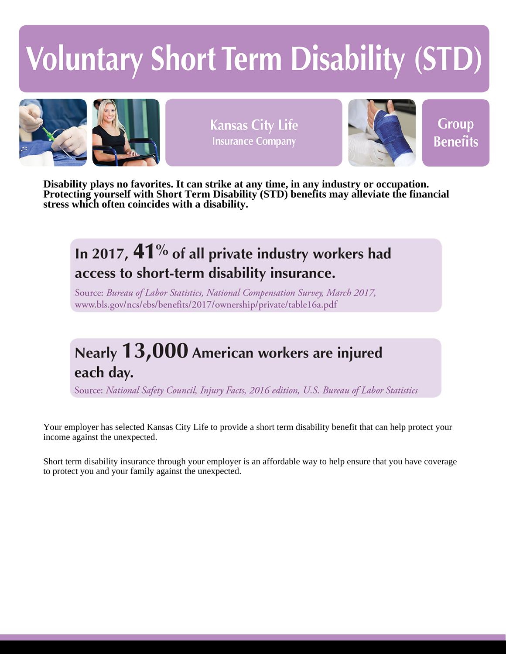# **Voluntary Short Term Disability (STD)**



**Kansas City Life Insurance Company** 



**Group Benefits** 

**Disability plays no favorites. It can strike at any time, in any industry or occupation. Protecting yourself with Short Term Disability (STD) benefits may alleviate the financial stress which often coincides with a disability.**

## In 2017,  $41\%$  of all private industry workers had access to short-term disability insurance.

Source: Bureau of Labor Statistics, National Compensation Survey, March 2017, www.bls.gov/ncs/ebs/benefits/2017/ownership/private/table16a.pdf

# Nearly  $13,000$  American workers are injured each day.

Source: National Safety Council, Injury Facts, 2016 edition, U.S. Bureau of Labor Statistics

Your employer has selected Kansas City Life to provide a short term disability benefit that can help protect your income against the unexpected.

Short term disability insurance through your employer is an affordable way to help ensure that you have coverage to protect you and your family against the unexpected.